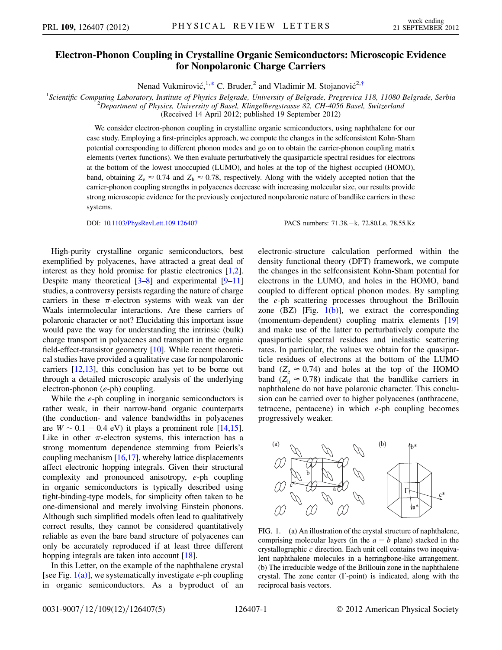## Electron-Phonon Coupling in Crystalline Organic Semiconductors: Microscopic Evidence for Nonpolaronic Charge Carriers

Nenad Vukmirović,<sup>1[,\\*](#page-3-0)</sup> C. Bruder,<sup>2</sup> and Vladimir M. Stojanović<sup>2[,†](#page-3-1)</sup>

<span id="page-0-1"></span><sup>1</sup>Scientific Computing Laboratory, Institute of Physics Belgrade, University of Belgrade, Pregrevica 118, 11080 Belgrade, Serbia <sup>2</sup>Denartment of Physics University of Basel Klingelbergstrasse 82, CH 4056 Basel, Switzerla

 $^{2}$ Department of Physics, University of Basel, Klingelbergstrasse 82, CH-4056 Basel, Switzerland

(Received 14 April 2012; published 19 September 2012)

We consider electron-phonon coupling in crystalline organic semiconductors, using naphthalene for our case study. Employing a first-principles approach, we compute the changes in the selfconsistent Kohn-Sham potential corresponding to different phonon modes and go on to obtain the carrier-phonon coupling matrix elements (vertex functions). We then evaluate perturbatively the quasiparticle spectral residues for electrons at the bottom of the lowest unoccupied (LUMO), and holes at the top of the highest occupied (HOMO), band, obtaining  $Z_e \approx 0.74$  and  $Z_h \approx 0.78$ , respectively. Along with the widely accepted notion that the carrier-phonon coupling strengths in polyacenes decrease with increasing molecular size, our results provide strong microscopic evidence for the previously conjectured nonpolaronic nature of bandlike carriers in these systems.

DOI: [10.1103/PhysRevLett.109.126407](http://dx.doi.org/10.1103/PhysRevLett.109.126407)

PACS numbers: 71.38. - k, 72.80. Le, 78.55. Kz

High-purity crystalline organic semiconductors, best exemplified by polyacenes, have attracted a great deal of interest as they hold promise for plastic electronics [\[1](#page-3-2)[,2](#page-3-3)]. Despite many theoretical  $[3-8]$  $[3-8]$  $[3-8]$  and experimental  $[9-11]$  $[9-11]$ studies, a controversy persists regarding the nature of charge carriers in these  $\pi$ -electron systems with weak van der Waals intermolecular interactions. Are these carriers of polaronic character or not? Elucidating this important issue would pave the way for understanding the intrinsic (bulk) charge transport in polyacenes and transport in the organic field-effect-transistor geometry [\[10\]](#page-4-1). While recent theoretical studies have provided a qualitative case for nonpolaronic carriers [[12](#page-4-2)[,13\]](#page-4-3), this conclusion has yet to be borne out through a detailed microscopic analysis of the underlying electron-phonon (e-ph) coupling.

While the *e*-ph coupling in inorganic semiconductors is rather weak, in their narrow-band organic counterparts (the conduction- and valence bandwidths in polyacenes are  $W \sim 0.1 - 0.4$  eV) it plays a prominent role [\[14](#page-4-4),[15](#page-4-5)]. Like in other  $\pi$ -electron systems, this interaction has a strong momentum dependence stemming from Peierls's coupling mechanism [[16](#page-4-6)[,17\]](#page-4-7), whereby lattice displacements affect electronic hopping integrals. Given their structural complexity and pronounced anisotropy, e-ph coupling in organic semiconductors is typically described using tight-binding-type models, for simplicity often taken to be one-dimensional and merely involving Einstein phonons. Although such simplified models often lead to qualitatively correct results, they cannot be considered quantitatively reliable as even the bare band structure of polyacenes can only be accurately reproduced if at least three different hopping integrals are taken into account [[18](#page-4-8)].

In this Letter, on the example of the naphthalene crystal [see Fig.  $1(a)$ ], we systematically investigate e-ph coupling in organic semiconductors. As a byproduct of an electronic-structure calculation performed within the density functional theory (DFT) framework, we compute the changes in the selfconsistent Kohn-Sham potential for electrons in the LUMO, and holes in the HOMO, band coupled to different optical phonon modes. By sampling the e-ph scattering processes throughout the Brillouin zone  $(BZ)$  [Fig. [1\(b\)](#page-0-0)], we extract the corresponding (momentum-dependent) coupling matrix elements [\[19\]](#page-4-9) and make use of the latter to perturbatively compute the quasiparticle spectral residues and inelastic scattering rates. In particular, the values we obtain for the quasiparticle residues of electrons at the bottom of the LUMO band ( $Z_e \approx 0.74$ ) and holes at the top of the HOMO band ( $Z_h \approx 0.78$ ) indicate that the bandlike carriers in naphthalene do not have polaronic character. This conclusion can be carried over to higher polyacenes (anthracene, tetracene, pentacene) in which e-ph coupling becomes progressively weaker.



<span id="page-0-0"></span>FIG. 1. (a) An illustration of the crystal structure of naphthalene, comprising molecular layers (in the  $a - b$  plane) stacked in the crystallographic  $c$  direction. Each unit cell contains two inequivalent naphthalene molecules in a herringbone-like arrangement. (b) The irreducible wedge of the Brillouin zone in the naphthalene crystal. The zone center  $(\Gamma$ -point) is indicated, along with the reciprocal basis vectors.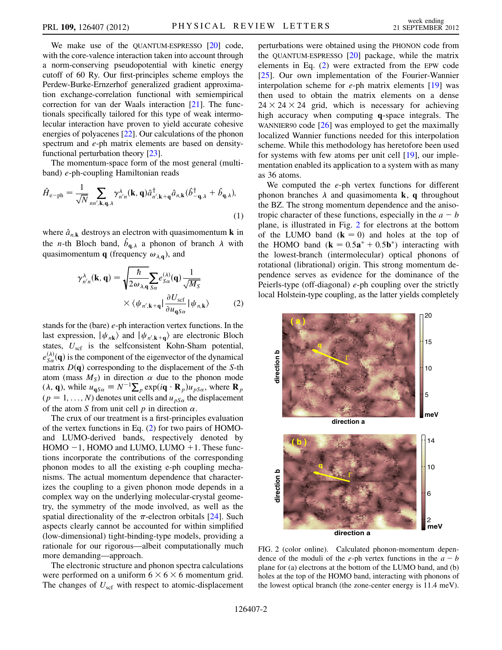We make use of the QUANTUM-ESPRESSO [[20\]](#page-4-10) code, with the core-valence interaction taken into account through a norm-conserving pseudopotential with kinetic energy cutoff of 60 Ry. Our first-principles scheme employs the Perdew-Burke-Ernzerhof generalized gradient approximation exchange-correlation functional with semiempirical correction for van der Waals interaction [[21\]](#page-4-11). The functionals specifically tailored for this type of weak intermolecular interaction have proven to yield accurate cohesive energies of polyacenes [\[22](#page-4-12)]. Our calculations of the phonon spectrum and e-ph matrix elements are based on densityfunctional perturbation theory [\[23](#page-4-13)].

The momentum-space form of the most general (multiband) e-ph-coupling Hamiltonian reads

$$
\hat{H}_{e-ph} = \frac{1}{\sqrt{N}} \sum_{nn',k,q,\lambda} \gamma_{n'n}^{\lambda}(\mathbf{k}, \mathbf{q}) \hat{a}_{n',k+q}^{\dagger} \hat{a}_{n,k} (\hat{b}_{-\mathbf{q},\lambda}^{\dagger} + \hat{b}_{\mathbf{q},\lambda}),
$$
\n(1)

<span id="page-1-0"></span>where  $\hat{a}_{n,k}$  destroys an electron with quasimomentum **k** in the *n*-th Bloch band,  $\hat{b}_{q,\lambda}$  a phonon of branch  $\lambda$  with quasimomentum **q** (frequency  $\omega_{\lambda,q}$ ), and

$$
\gamma_{n'n}^{\lambda}(\mathbf{k}, \mathbf{q}) = \sqrt{\frac{\hbar}{2\omega_{\lambda,\mathbf{q}}} \sum_{S\alpha} e_{S\alpha}^{(\lambda)}(\mathbf{q}) \frac{1}{\sqrt{M_S}}}
$$

$$
\times \langle \psi_{n',\mathbf{k}+\mathbf{q}} | \frac{\partial U_{\text{scf}}}{\partial u_{\mathbf{q}S\alpha}} | \psi_{n,\mathbf{k}} \rangle \tag{2}
$$

stands for the (bare) e-ph interaction vertex functions. In the last expression,  $|\psi_{n\mathbf{k}}\rangle$  and  $|\psi_{n',\mathbf{k+q}}\rangle$  are electronic Bloch states,  $U_{\text{scf}}$  is the selfconsistent Kohn-Sham potential,  $e_{S_{\alpha}}^{(\lambda)}(\mathbf{q})$  is the component of the eigenvector of the dynamical matrix  $D(q)$  corresponding to the displacement of the S-th atom (mass  $M<sub>S</sub>$ ) in direction  $\alpha$  due to the phonon mode  $(\lambda, \mathbf{q})$ , while  $u_{\mathbf{q}S\alpha} \equiv N^{-1} \sum_p \exp(i\mathbf{q} \cdot \mathbf{R}_p) u_{pS\alpha}$ , where  $\mathbf{R}_p$  $(p = 1, \ldots, N)$  denotes unit cells and  $u_{pS_{\alpha}}$  the displacement of the atom S from unit cell p in direction  $\alpha$ .

The crux of our treatment is a first-principles evaluation of the vertex functions in Eq. ([2\)](#page-1-0) for two pairs of HOMOand LUMO-derived bands, respectively denoted by  $HOMO - 1$ ,  $HOMO$  and  $LUMO$ ,  $LUMO + 1$ . These functions incorporate the contributions of the corresponding phonon modes to all the existing e-ph coupling mechanisms. The actual momentum dependence that characterizes the coupling to a given phonon mode depends in a complex way on the underlying molecular-crystal geometry, the symmetry of the mode involved, as well as the spatial directionality of the  $\pi$ -electron orbitals [\[24\]](#page-4-14). Such aspects clearly cannot be accounted for within simplified (low-dimensional) tight-binding-type models, providing a rationale for our rigorous—albeit computationally much more demanding—approach.

The electronic structure and phonon spectra calculations were performed on a uniform  $6 \times 6 \times 6$  momentum grid. The changes of  $U_{\text{scf}}$  with respect to atomic-displacement perturbations were obtained using the PHONON code from the QUANTUM-ESPRESSO  $[20]$  package, while the matrix elements in Eq. ([2\)](#page-1-0) were extracted from the EPW code [\[25\]](#page-4-15). Our own implementation of the Fourier-Wannier interpolation scheme for  $e$ -ph matrix elements  $[19]$  $[19]$  was then used to obtain the matrix elements on a dense  $24 \times 24 \times 24$  grid, which is necessary for achieving high accuracy when computing q-space integrals. The WANNIER90 code [\[26\]](#page-4-16) was employed to get the maximally localized Wannier functions needed for this interpolation scheme. While this methodology has heretofore been used for systems with few atoms per unit cell [\[19\]](#page-4-9), our implementation enabled its application to a system with as many as 36 atoms.

We computed the  $e$ -ph vertex functions for different phonon branches  $\lambda$  and quasimomenta **k**, **q** throughout the BZ. The strong momentum dependence and the anisotropic character of these functions, especially in the  $a - b$ plane, is illustrated in Fig. [2](#page-1-1) for electrons at the bottom of the LUMO band  $(k = 0)$  and holes at the top of the HOMO band  $(\mathbf{k} = 0.5\mathbf{a}^* + 0.5\mathbf{b}^*)$  interacting with the lowest-branch (intermolecular) optical phonons of rotational (librational) origin. This strong momentum dependence serves as evidence for the dominance of the Peierls-type (off-diagonal) e-ph coupling over the strictly local Holstein-type coupling, as the latter yields completely

<span id="page-1-1"></span>

FIG. 2 (color online). Calculated phonon-momentum dependence of the moduli of the *e*-ph vertex functions in the  $a - b$ plane for (a) electrons at the bottom of the LUMO band, and (b) holes at the top of the HOMO band, interacting with phonons of the lowest optical branch (the zone-center energy is 11.4 meV).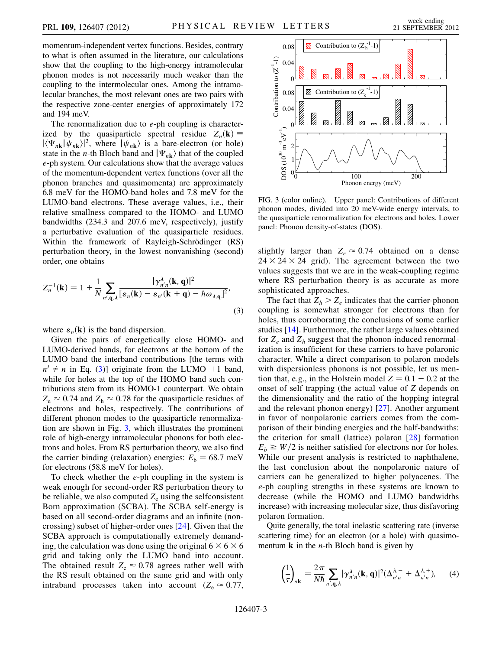momentum-independent vertex functions. Besides, contrary to what is often assumed in the literature, our calculations show that the coupling to the high-energy intramolecular phonon modes is not necessarily much weaker than the coupling to the intermolecular ones. Among the intramolecular branches, the most relevant ones are two pairs with the respective zone-center energies of approximately 172 and 194 meV.

The renormalization due to  $e$ -ph coupling is characterized by the quasiparticle spectral residue  $Z_n(\mathbf{k}) \equiv$  $|\langle \Psi_{n\mathbf{k}}|\psi_{n\mathbf{k}}\rangle|^2$ , where  $|\psi_{n\mathbf{k}}\rangle$  is a bare-electron (or hole) state in the *n*-th Bloch band and  $|\Psi_{n\mathbf{k}}\rangle$  that of the coupled e-ph system. Our calculations show that the average values of the momentum-dependent vertex functions (over all the phonon branches and quasimomenta) are approximately 6.8 meV for the HOMO-band holes and 7.8 meV for the LUMO-band electrons. These average values, i.e., their relative smallness compared to the HOMO- and LUMO bandwidths (234.3 and 207.6 meV, respectively), justify a perturbative evaluation of the quasiparticle residues. Within the framework of Rayleigh-Schrödinger (RS) perturbation theory, in the lowest nonvanishing (second) order, one obtains

<span id="page-2-0"></span>
$$
Z_n^{-1}(\mathbf{k}) = 1 + \frac{1}{N} \sum_{n',\mathbf{q},\lambda} \frac{|\gamma_{n'n}^{\lambda}(\mathbf{k}, \mathbf{q})|^2}{[\varepsilon_n(\mathbf{k}) - \varepsilon_{n'}(\mathbf{k} + \mathbf{q}) - \hbar \omega_{\lambda, \mathbf{q}}]^2},
$$
\n(3)

where  $\varepsilon_n(\mathbf{k})$  is the band dispersion.

Given the pairs of energetically close HOMO- and LUMO-derived bands, for electrons at the bottom of the LUMO band the interband contributions [the terms with  $n' \neq n$  in Eq. ([3](#page-2-0))] originate from the LUMO +1 band, while for holes at the top of the HOMO band such contributions stem from its HOMO-1 counterpart. We obtain  $Z_e \approx 0.74$  and  $Z_h \approx 0.78$  for the quasiparticle residues of electrons and holes, respectively. The contributions of different phonon modes to the quasiparticle renormalization are shown in Fig. [3,](#page-2-1) which illustrates the prominent role of high-energy intramolecular phonons for both electrons and holes. From RS perturbation theory, we also find the carrier binding (relaxation) energies:  $E<sub>b</sub> = 68.7$  meV for electrons (58.8 meV for holes).

To check whether the  $e$ -ph coupling in the system is weak enough for second-order RS perturbation theory to be reliable, we also computed  $Z<sub>e</sub>$  using the selfconsistent Born approximation (SCBA). The SCBA self-energy is based on all second-order diagrams and an infinite (noncrossing) subset of higher-order ones [\[24\]](#page-4-14). Given that the SCBA approach is computationally extremely demanding, the calculation was done using the original  $6 \times 6 \times 6$ grid and taking only the LUMO band into account. The obtained result  $Z_e \approx 0.78$  agrees rather well with the RS result obtained on the same grid and with only intraband processes taken into account ( $Z_e \approx 0.77$ ,

<span id="page-2-1"></span>

FIG. 3 (color online). Upper panel: Contributions of different phonon modes, divided into 20 meV-wide energy intervals, to the quasiparticle renormalization for electrons and holes. Lower panel: Phonon density-of-states (DOS).

slightly larger than  $Z_e \approx 0.74$  obtained on a dense  $24 \times 24 \times 24$  grid). The agreement between the two values suggests that we are in the weak-coupling regime where RS perturbation theory is as accurate as more sophisticated approaches.

The fact that  $Z_h > Z_e$  indicates that the carrier-phonon coupling is somewhat stronger for electrons than for holes, thus corroborating the conclusions of some earlier studies [\[14](#page-4-4)]. Furthermore, the rather large values obtained for  $Z_e$  and  $Z_h$  suggest that the phonon-induced renormalization is insufficient for these carriers to have polaronic character. While a direct comparison to polaron models with dispersionless phonons is not possible, let us mention that, e.g., in the Holstein model  $Z = 0.1 - 0.2$  at the onset of self trapping (the actual value of Z depends on the dimensionality and the ratio of the hopping integral and the relevant phonon energy) [[27](#page-4-17)]. Another argument in favor of nonpolaronic carriers comes from the comparison of their binding energies and the half-bandwiths: the criterion for small (lattice) polaron  $[28]$  $[28]$  $[28]$  formation  $E_b \geq W/2$  is neither satisfied for electrons nor for holes. While our present analysis is restricted to naphthalene, the last conclusion about the nonpolaronic nature of carriers can be generalized to higher polyacenes. The e-ph coupling strengths in these systems are known to decrease (while the HOMO and LUMO bandwidths increase) with increasing molecular size, thus disfavoring polaron formation.

<span id="page-2-2"></span>Quite generally, the total inelastic scattering rate (inverse scattering time) for an electron (or a hole) with quasimomentum  $\bf{k}$  in the *n*-th Bloch band is given by

$$
\left(\frac{1}{\tau}\right)_{n\mathbf{k}} = \frac{2\pi}{N\hbar} \sum_{n',\mathbf{q},\lambda} |\gamma^{\lambda}_{n'n}(\mathbf{k},\mathbf{q})|^2 (\Delta^{\lambda,-}_{n'n} + \Delta^{\lambda,+}_{n'n}),\qquad(4)
$$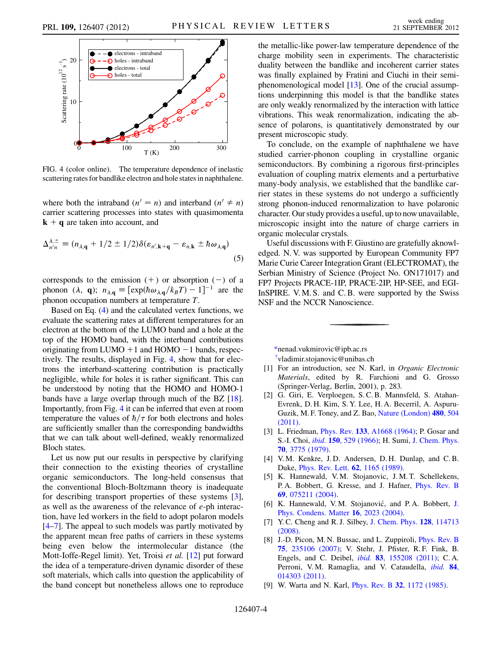<span id="page-3-7"></span>

FIG. 4 (color online). The temperature dependence of inelastic scattering rates for bandlike electron and hole states in naphthalene.

where both the intraband  $(n' = n)$  and interband  $(n' \neq n)$ carrier scattering processes into states with quasimomenta  $k + q$  are taken into account, and

$$
\Delta_{n'n}^{\lambda, \pm} \equiv (n_{\lambda, \mathbf{q}} + 1/2 \pm 1/2) \delta(\varepsilon_{n', \mathbf{k} + \mathbf{q}} - \varepsilon_{n, \mathbf{k}} \pm \hbar \omega_{\lambda, \mathbf{q}})
$$
(5)

corresponds to the emission  $(+)$  or absorption  $(-)$  of a phonon  $(\lambda, \mathbf{q}); n_{\lambda, \mathbf{q}} \equiv [\exp(\hbar \omega_{\lambda, \mathbf{q}}/k_B T) - 1]^{-1}$  are the phonon occupation numbers at temperature T.

Based on Eq. ([4\)](#page-2-2) and the calculated vertex functions, we evaluate the scattering rates at different temperatures for an electron at the bottom of the LUMO band and a hole at the top of the HOMO band, with the interband contributions originating from LUMO  $+1$  and HOMO  $-1$  bands, respectively. The results, displayed in Fig. [4,](#page-3-7) show that for electrons the interband-scattering contribution is practically negligible, while for holes it is rather significant. This can be understood by noting that the HOMO and HOMO-1 bands have a large overlap through much of the BZ [[18](#page-4-8)]. Importantly, from Fig. [4](#page-3-7) it can be inferred that even at room temperature the values of  $\hbar/\tau$  for both electrons and holes are sufficiently smaller than the corresponding bandwidths that we can talk about well-defined, weakly renormalized Bloch states.

Let us now put our results in perspective by clarifying their connection to the existing theories of crystalline organic semiconductors. The long-held consensus that the conventional Bloch-Boltzmann theory is inadequate for describing transport properties of these systems [[3\]](#page-3-4), as well as the awareness of the relevance of e-ph interaction, have led workers in the field to adopt polaron models  $[4–7]$  $[4–7]$  $[4–7]$ . The appeal to such models was partly motivated by the apparent mean free paths of carriers in these systems being even below the intermolecular distance (the Mott-Ioffe-Regel limit). Yet, Troisi et al. [[12](#page-4-2)] put forward the idea of a temperature-driven dynamic disorder of these soft materials, which calls into question the applicability of the band concept but nonetheless allows one to reproduce the metallic-like power-law temperature dependence of the charge mobility seen in experiments. The characteristic duality between the bandlike and incoherent carrier states was finally explained by Fratini and Ciuchi in their semiphenomenological model [[13\]](#page-4-3). One of the crucial assumptions underpinning this model is that the bandlike states are only weakly renormalized by the interaction with lattice vibrations. This weak renormalization, indicating the absence of polarons, is quantitatively demonstrated by our present microscopic study.

To conclude, on the example of naphthalene we have studied carrier-phonon coupling in crystalline organic semiconductors. By combining a rigorous first-principles evaluation of coupling matrix elements and a perturbative many-body analysis, we established that the bandlike carrier states in these systems do not undergo a sufficiently strong phonon-induced renormalization to have polaronic character. Our study provides a useful, up to now unavailable, microscopic insight into the nature of charge carriers in organic molecular crystals.

Useful discussions with F. Giustino are gratefully aknowledged. N. V. was supported by European Community FP7 Marie Curie Career Integration Grant (ELECTROMAT), the Serbian Ministry of Science (Project No. ON171017) and FP7 Projects PRACE-1IP, PRACE-2IP, HP-SEE, and EGI-InSPIRE. V. M. S. and C. B. were supported by the Swiss NSF and the NCCR Nanoscience.

<span id="page-3-2"></span><span id="page-3-1"></span><span id="page-3-0"></span>[\\*n](#page-0-1)enad.vukmirovic@ipb.ac.rs

[†](#page-0-1) vladimir.stojanovic@unibas.ch

- <span id="page-3-3"></span>[1] For an introduction, see N. Karl, in *Organic Electronic* Materials, edited by R. Farchioni and G. Grosso (Springer-Verlag, Berlin, 2001), p. 283.
- [2] G. Giri, E. Verploegen, S. C. B. Mannsfeld, S. Atahan-Evrenk, D. H. Kim, S. Y. Lee, H. A. Becerril, A. Aspuru-Guzik, M. F. Toney, and Z. Bao, [Nature \(London\)](http://dx.doi.org/10.1038/nature10683) 480, 504 [\(2011\)](http://dx.doi.org/10.1038/nature10683).
- <span id="page-3-8"></span><span id="page-3-4"></span>[3] L. Friedman, *Phys. Rev.* **133**[, A1668 \(1964\);](http://dx.doi.org/10.1103/PhysRev.133.A1668) P. Gosar and S.-I. Choi, ibid. 150[, 529 \(1966\);](http://dx.doi.org/10.1103/PhysRev.150.529) H. Sumi, [J. Chem. Phys.](http://dx.doi.org/10.1063/1.437982) 70[, 3775 \(1979\).](http://dx.doi.org/10.1063/1.437982)
- [4] V. M. Kenkre, J. D. Andersen, D. H. Dunlap, and C. B. Duke, [Phys. Rev. Lett.](http://dx.doi.org/10.1103/PhysRevLett.62.1165) 62, 1165 (1989).
- [5] K. Hannewald, V. M. Stojanovic, J. M. T. Schellekens, P. A. Bobbert, G. Kresse, and J. Hafner, [Phys. Rev. B](http://dx.doi.org/10.1103/PhysRevB.69.075211) 69[, 075211 \(2004\)](http://dx.doi.org/10.1103/PhysRevB.69.075211).
- <span id="page-3-9"></span>[6] K. Hannewald, V.M. Stojanović, and P.A. Bobbert, [J.](http://dx.doi.org/10.1088/0953-8984/16/12/011) [Phys. Condens. Matter](http://dx.doi.org/10.1088/0953-8984/16/12/011) 16, 2023 (2004).
- <span id="page-3-5"></span>[7] Y. C. Cheng and R. J. Silbey, [J. Chem. Phys.](http://dx.doi.org/10.1063/1.2894840) 128, 114713 [\(2008\)](http://dx.doi.org/10.1063/1.2894840).
- [8] J.-D. Picon, M. N. Bussac, and L. Zuppiroli, *[Phys. Rev. B](http://dx.doi.org/10.1103/PhysRevB.75.235106)* 75[, 235106 \(2007\)](http://dx.doi.org/10.1103/PhysRevB.75.235106); V. Stehr, J. Pfister, R. F. Fink, B. Engels, and C. Deibel, ibid. 83[, 155208 \(2011\)](http://dx.doi.org/10.1103/PhysRevB.83.155208); C. A. Perroni, V.M. Ramaglia, and V. Cataudella, *[ibid.](http://dx.doi.org/10.1103/PhysRevB.84.014303)* 84, [014303 \(2011\).](http://dx.doi.org/10.1103/PhysRevB.84.014303)
- <span id="page-3-6"></span>[9] W. Warta and N. Karl, Phys. Rev. B 32[, 1172 \(1985\)](http://dx.doi.org/10.1103/PhysRevB.32.1172).